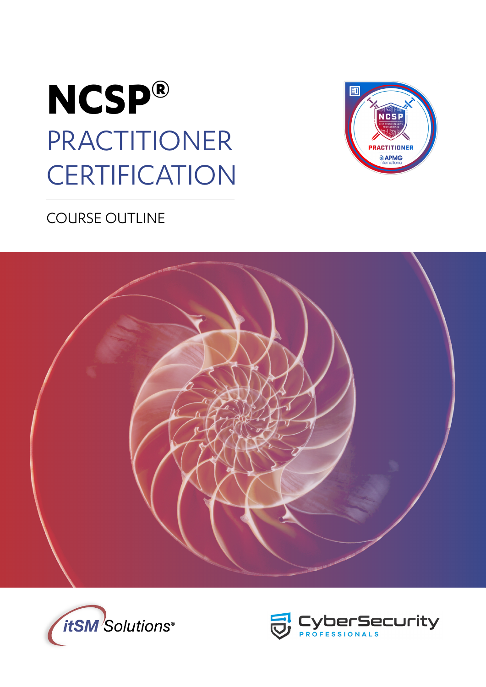



# COURSE OUTLINE





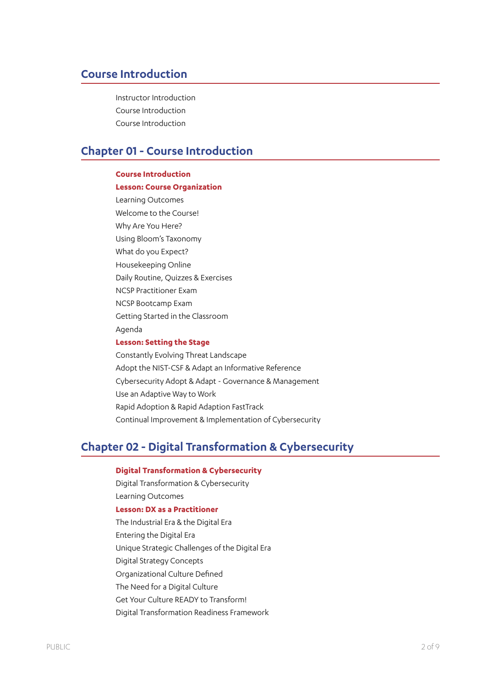### **Course Introduction**

Instructor Introduction Course Introduction Course Introduction

### **Chapter 01 - Course Introduction**

### **Course Introduction Lesson: Course Organization** Learning Outcomes Welcome to the Course! Why Are You Here? Using Bloom's Taxonomy What do you Expect? Housekeeping Online Daily Routine, Quizzes & Exercises NCSP Practitioner Exam NCSP Bootcamp Exam Getting Started in the Classroom Agenda

#### **Lesson: Setting the Stage**

Constantly Evolving Threat Landscape Adopt the NIST-CSF & Adapt an Informative Reference Cybersecurity Adopt & Adapt - Governance & Management Use an Adaptive Way to Work Rapid Adoption & Rapid Adaption FastTrack Continual Improvement & Implementation of Cybersecurity

### **Chapter 02 - Digital Transformation & Cybersecurity**

### **Digital Transformation & Cybersecurity**

Digital Transformation & Cybersecurity Learning Outcomes

- **Lesson: DX as a Practitioner**
- The Industrial Era & the Digital Era
- Entering the Digital Era
- Unique Strategic Challenges of the Digital Era
- Digital Strategy Concepts
- Organizational Culture Defined
- The Need for a Digital Culture
- Get Your Culture READY to Transform!
- Digital Transformation Readiness Framework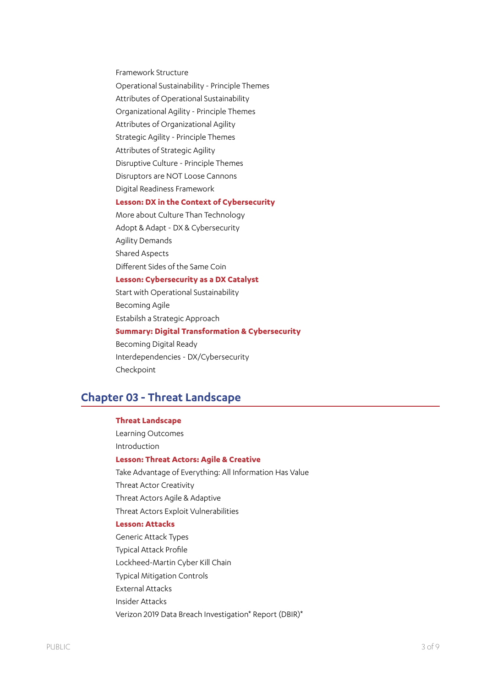Framework Structure

Operational Sustainability - Principle Themes

Attributes of Operational Sustainability

Organizational Agility - Principle Themes

Attributes of Organizational Agility

Strategic Agility - Principle Themes

Attributes of Strategic Agility

Disruptive Culture - Principle Themes

Disruptors are NOT Loose Cannons

Digital Readiness Framework

### **Lesson: DX in the Context of Cybersecurity**

More about Culture Than Technology

Adopt & Adapt - DX & Cybersecurity

Agility Demands

Shared Aspects

Different Sides of the Same Coin

#### **Lesson: Cybersecurity as a DX Catalyst**

Start with Operational Sustainability Becoming Agile Estabilsh a Strategic Approach **Summary: Digital Transformation & Cybersecurity** Becoming Digital Ready Interdependencies - DX/Cybersecurity Checkpoint

### **Chapter 03 - Threat Landscape**

#### **Threat Landscape**

Learning Outcomes Introduction

### **Lesson: Threat Actors: Agile & Creative**

Take Advantage of Everything: All Information Has Value Threat Actor Creativity Threat Actors Agile & Adaptive Threat Actors Exploit Vulnerabilities **Lesson: Attacks**

Generic Attack Types Typical Attack Profile Lockheed-Martin Cyber Kill Chain Typical Mitigation Controls External Attacks Insider Attacks Verizon 2019 Data Breach Investigation\* Report (DBIR)\*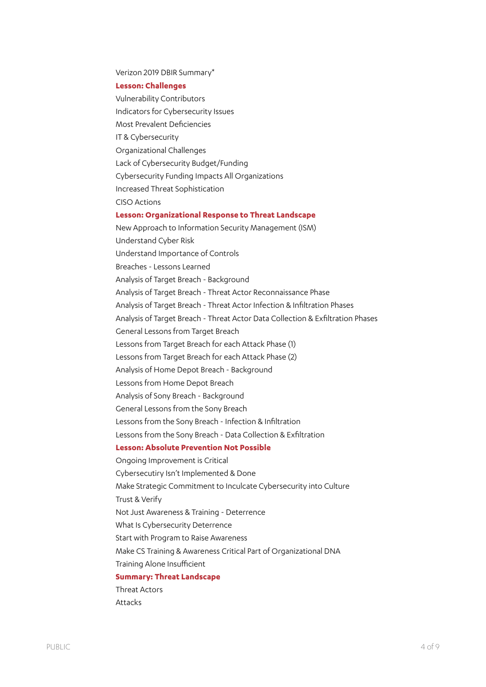Verizon 2019 DBIR Summary\*

#### **Lesson: Challenges**

Vulnerability Contributors Indicators for Cybersecurity Issues Most Prevalent Deficiencies IT & Cybersecurity Organizational Challenges Lack of Cybersecurity Budget/Funding Cybersecurity Funding Impacts All Organizations Increased Threat Sophistication CISO Actions **Lesson: Organizational Response to Threat Landscape** New Approach to Information Security Management (ISM) Understand Cyber Risk Understand Importance of Controls Breaches - Lessons Learned Analysis of Target Breach - Background Analysis of Target Breach - Threat Actor Reconnaissance Phase Analysis of Target Breach - Threat Actor Infection & Infiltration Phases Analysis of Target Breach - Threat Actor Data Collection & Exfiltration Phases General Lessons from Target Breach Lessons from Target Breach for each Attack Phase (1) Lessons from Target Breach for each Attack Phase (2) Analysis of Home Depot Breach - Background Lessons from Home Depot Breach Analysis of Sony Breach - Background General Lessons from the Sony Breach Lessons from the Sony Breach - Infection & Infiltration Lessons from the Sony Breach - Data Collection & Exfiltration **Lesson: Absolute Prevention Not Possible** Ongoing Improvement is Critical Cybersecutiry Isn't Implemented & Done Make Strategic Commitment to Inculcate Cybersecurity into Culture Trust & Verify Not Just Awareness & Training - Deterrence What Is Cybersecurity Deterrence Start with Program to Raise Awareness Make CS Training & Awareness Critical Part of Organizational DNA Training Alone Insufficient **Summary: Threat Landscape** Threat Actors Attacks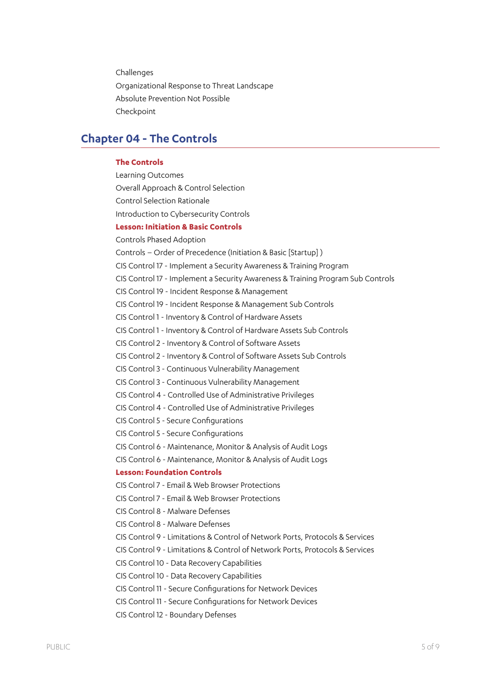**Challenges** Organizational Response to Threat Landscape Absolute Prevention Not Possible Checkpoint

### **Chapter 04 - The Controls**

#### **The Controls**

Learning Outcomes Overall Approach & Control Selection Control Selection Rationale Introduction to Cybersecurity Controls **Lesson: Initiation & Basic Controls** Controls Phased Adoption Controls – Order of Precedence (Initiation & Basic [Startup] ) CIS Control 17 - Implement a Security Awareness & Training Program CIS Control 17 - Implement a Security Awareness & Training Program Sub Controls CIS Control 19 - Incident Response & Management CIS Control 19 - Incident Response & Management Sub Controls CIS Control 1 - Inventory & Control of Hardware Assets CIS Control 1 - Inventory & Control of Hardware Assets Sub Controls CIS Control 2 - Inventory & Control of Software Assets CIS Control 2 - Inventory & Control of Software Assets Sub Controls CIS Control 3 - Continuous Vulnerability Management CIS Control 3 - Continuous Vulnerability Management CIS Control 4 - Controlled Use of Administrative Privileges CIS Control 4 - Controlled Use of Administrative Privileges CIS Control 5 - Secure Configurations CIS Control 5 - Secure Configurations CIS Control 6 - Maintenance, Monitor & Analysis of Audit Logs CIS Control 6 - Maintenance, Monitor & Analysis of Audit Logs **Lesson: Foundation Controls** CIS Control 7 - Email & Web Browser Protections CIS Control 7 - Email & Web Browser Protections CIS Control 8 - Malware Defenses CIS Control 8 - Malware Defenses CIS Control 9 - Limitations & Control of Network Ports, Protocols & Services CIS Control 9 - Limitations & Control of Network Ports, Protocols & Services CIS Control 10 - Data Recovery Capabilities CIS Control 10 - Data Recovery Capabilities CIS Control 11 - Secure Configurations for Network Devices CIS Control 11 - Secure Configurations for Network Devices CIS Control 12 - Boundary Defenses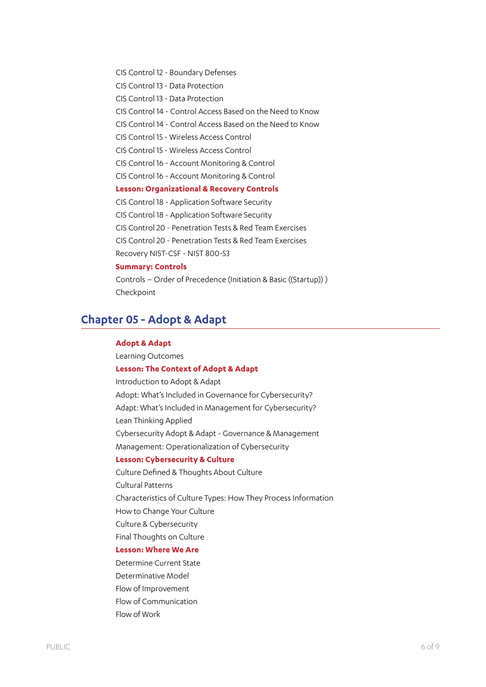CIS Control 12 - Boundary Defenses

CIS Control 13 - Data Protection

CIS Control 13 - Data Protection

CIS Control 14 - Control Access Based on the Need to Know

CIS Control 14 - Control Access Based on the Need to Know

CIS Control 15 - Wireless Access Control

CIS Control 15 - Wireless Access Control

CIS Control 16 - Account Monitoring & Control

CIS Control 16 - Account Monitoring & Control

#### **Lesson: Organizational & Recovery Controls**

CIS Control 18 - Application Software Security

CIS Control 18 - Application Software Security

CIS Control 20 - Penetration Tests & Red Team Exercises

CIS Control 20 - Penetration Tests & Red Team Exercises

Recovery NIST-CSF - NIST 800-53

### **Summary: Controls**

Controls – Order of Precedence (Initiation & Basic ((Startup)) ) Checkpoint

### **Chapter 05 - Adopt & Adapt**

#### **Adopt & Adapt**

Learning Outcomes

#### **Lesson: The Context of Adopt & Adapt**

Introduction to Adopt & Adapt Adopt: What's Included in Governance for Cybersecurity? Adapt: What's Included in Management for Cybersecurity? Lean Thinking Applied Cybersecurity Adopt & Adapt - Governance & Management Management: Operationalization of Cybersecurity

### **Lesson: Cybersecurity & Culture**

Culture Defined & Thoughts About Culture Cultural Patterns Characteristics of Culture Types: How They Process Information How to Change Your Culture Culture & Cybersecurity Final Thoughts on Culture **Lesson: Where We Are**

Determine Current State Determinative Model Flow of Improvement Flow of Communication Flow of Work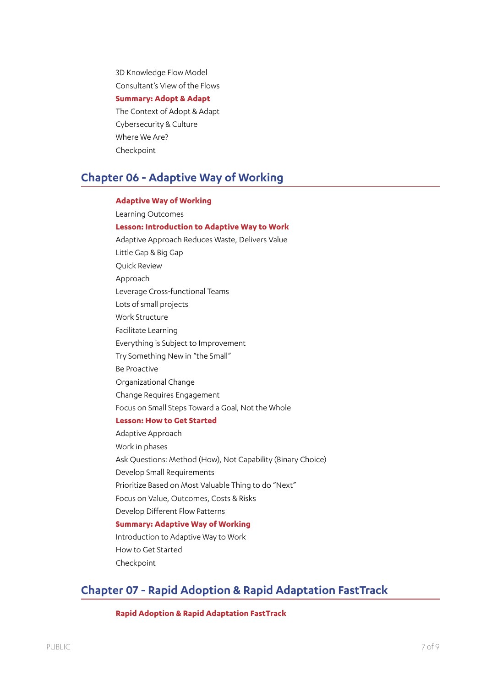3D Knowledge Flow Model Consultant's View of the Flows **Summary: Adopt & Adapt** The Context of Adopt & Adapt Cybersecurity & Culture Where We Are? Checkpoint

## **Chapter 06 - Adaptive Way of Working**

### **Adaptive Way of Working**

Learning Outcomes **Lesson: Introduction to Adaptive Way to Work** Adaptive Approach Reduces Waste, Delivers Value Little Gap & Big Gap Quick Review Approach Leverage Cross-functional Teams Lots of small projects Work Structure Facilitate Learning Everything is Subject to Improvement Try Something New in "the Small" Be Proactive Organizational Change Change Requires Engagement Focus on Small Steps Toward a Goal, Not the Whole **Lesson: How to Get Started** Adaptive Approach Work in phases Ask Questions: Method (How), Not Capability (Binary Choice) Develop Small Requirements Prioritize Based on Most Valuable Thing to do "Next" Focus on Value, Outcomes, Costs & Risks Develop Different Flow Patterns **Summary: Adaptive Way of Working** Introduction to Adaptive Way to Work How to Get Started

Checkpoint

## **Chapter 07 - Rapid Adoption & Rapid Adaptation FastTrack**

**Rapid Adoption & Rapid Adaptation FastTrack**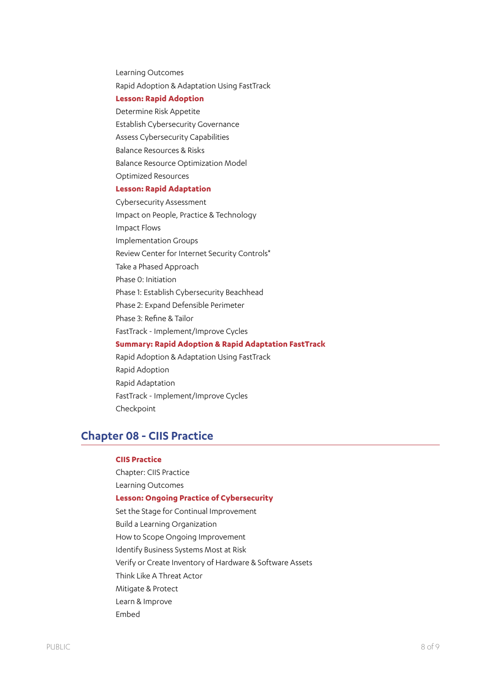Learning Outcomes Rapid Adoption & Adaptation Using FastTrack

### **Lesson: Rapid Adoption**

Determine Risk Appetite Establish Cybersecurity Governance Assess Cybersecurity Capabilities Balance Resources & Risks Balance Resource Optimization Model Optimized Resources

#### **Lesson: Rapid Adaptation**

Cybersecurity Assessment Impact on People, Practice & Technology Impact Flows Implementation Groups Review Center for Internet Security Controls\* Take a Phased Approach Phase 0: Initiation Phase 1: Establish Cybersecurity Beachhead Phase 2: Expand Defensible Perimeter Phase 3: Refine & Tailor FastTrack - Implement/Improve Cycles **Summary: Rapid Adoption & Rapid Adaptation FastTrack** Rapid Adoption & Adaptation Using FastTrack Rapid Adoption Rapid Adaptation FastTrack - Implement/Improve Cycles

Checkpoint

### **Chapter 08 - CIIS Practice**

### **CIIS Practice**

Chapter: CIIS Practice Learning Outcomes **Lesson: Ongoing Practice of Cybersecurity** Set the Stage for Continual Improvement Build a Learning Organization How to Scope Ongoing Improvement Identify Business Systems Most at Risk Verify or Create Inventory of Hardware & Software Assets Think Like A Threat Actor Mitigate & Protect Learn & Improve Embed